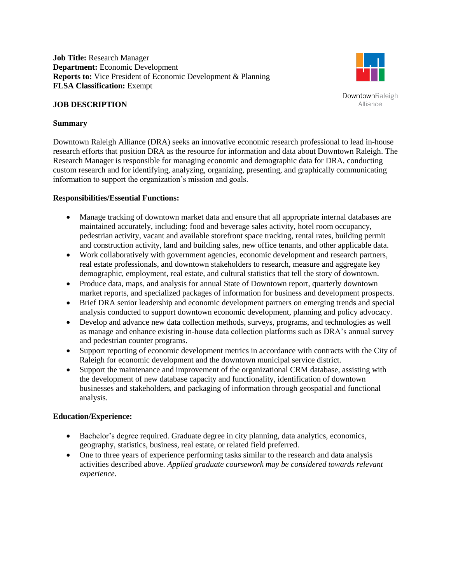**Job Title:** Research Manager **Department:** Economic Development **Reports to:** Vice President of Economic Development & Planning **FLSA Classification:** Exempt

### **JOB DESCRIPTION**

# **Summary**

Downtown Raleigh Alliance (DRA) seeks an innovative economic research professional to lead in-house research efforts that position DRA as the resource for information and data about Downtown Raleigh. The Research Manager is responsible for managing economic and demographic data for DRA, conducting custom research and for identifying, analyzing, organizing, presenting, and graphically communicating information to support the organization's mission and goals.

### **Responsibilities/Essential Functions:**

- Manage tracking of downtown market data and ensure that all appropriate internal databases are maintained accurately, including: food and beverage sales activity, hotel room occupancy, pedestrian activity, vacant and available storefront space tracking, rental rates, building permit and construction activity, land and building sales, new office tenants, and other applicable data.
- Work collaboratively with government agencies, economic development and research partners, real estate professionals, and downtown stakeholders to research, measure and aggregate key demographic, employment, real estate, and cultural statistics that tell the story of downtown.
- Produce data, maps, and analysis for annual State of Downtown report, quarterly downtown market reports, and specialized packages of information for business and development prospects.
- Brief DRA senior leadership and economic development partners on emerging trends and special analysis conducted to support downtown economic development, planning and policy advocacy.
- Develop and advance new data collection methods, surveys, programs, and technologies as well as manage and enhance existing in-house data collection platforms such as DRA's annual survey and pedestrian counter programs.
- Support reporting of economic development metrics in accordance with contracts with the City of Raleigh for economic development and the downtown municipal service district.
- Support the maintenance and improvement of the organizational CRM database, assisting with the development of new database capacity and functionality, identification of downtown businesses and stakeholders, and packaging of information through geospatial and functional analysis.

# **Education/Experience:**

- Bachelor's degree required. Graduate degree in city planning, data analytics, economics, geography, statistics, business, real estate, or related field preferred.
- One to three years of experience performing tasks similar to the research and data analysis activities described above. *Applied graduate coursework may be considered towards relevant experience.*



**DowntownRaleigh** Alliance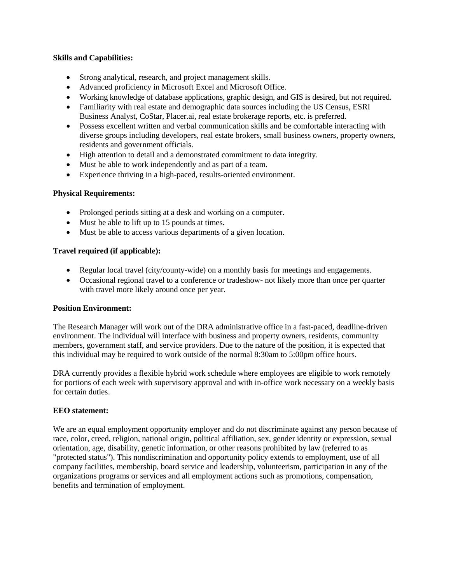## **Skills and Capabilities:**

- Strong analytical, research, and project management skills.
- Advanced proficiency in Microsoft Excel and Microsoft Office.
- Working knowledge of database applications, graphic design, and GIS is desired, but not required.
- Familiarity with real estate and demographic data sources including the US Census, ESRI Business Analyst, CoStar, Placer.ai, real estate brokerage reports, etc. is preferred.
- Possess excellent written and verbal communication skills and be comfortable interacting with diverse groups including developers, real estate brokers, small business owners, property owners, residents and government officials.
- High attention to detail and a demonstrated commitment to data integrity.
- Must be able to work independently and as part of a team.
- Experience thriving in a high-paced, results-oriented environment.

# **Physical Requirements:**

- Prolonged periods sitting at a desk and working on a computer.
- Must be able to lift up to 15 pounds at times.
- Must be able to access various departments of a given location.

# **Travel required (if applicable):**

- Regular local travel (city/county-wide) on a monthly basis for meetings and engagements.
- Occasional regional travel to a conference or tradeshow- not likely more than once per quarter with travel more likely around once per year.

# **Position Environment:**

The Research Manager will work out of the DRA administrative office in a fast-paced, deadline-driven environment. The individual will interface with business and property owners, residents, community members, government staff, and service providers. Due to the nature of the position, it is expected that this individual may be required to work outside of the normal 8:30am to 5:00pm office hours.

DRA currently provides a flexible hybrid work schedule where employees are eligible to work remotely for portions of each week with supervisory approval and with in-office work necessary on a weekly basis for certain duties.

### **EEO statement:**

We are an equal employment opportunity employer and do not discriminate against any person because of race, color, creed, religion, national origin, political affiliation, sex, gender identity or expression, sexual orientation, age, disability, genetic information, or other reasons prohibited by law (referred to as "protected status"). This nondiscrimination and opportunity policy extends to employment, use of all company facilities, membership, board service and leadership, volunteerism, participation in any of the organizations programs or services and all employment actions such as promotions, compensation, benefits and termination of employment.